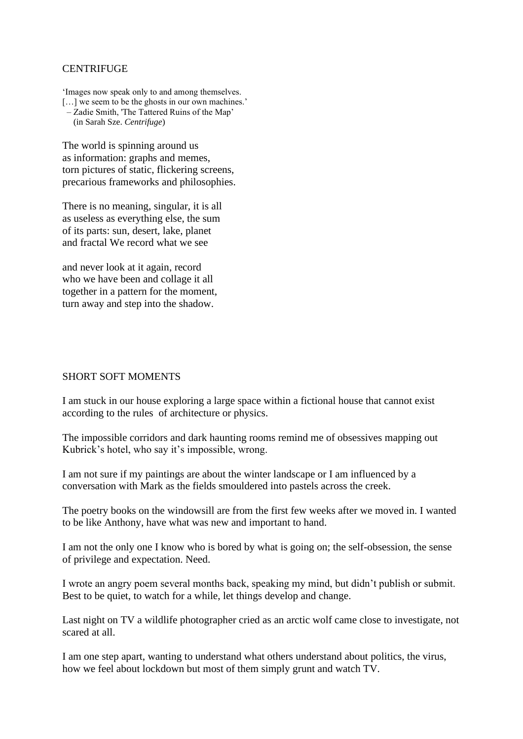## **CENTRIFUGE**

'Images now speak only to and among themselves. [...] we seem to be the ghosts in our own machines.'

- Zadie Smith, 'The Tattered Ruins of the Map'
- (in Sarah Sze. *Centrifuge*)

The world is spinning around us as information: graphs and memes, torn pictures of static, flickering screens, precarious frameworks and philosophies.

There is no meaning, singular, it is all as useless as everything else, the sum of its parts: sun, desert, lake, planet and fractal We record what we see

and never look at it again, record who we have been and collage it all together in a pattern for the moment, turn away and step into the shadow.

## SHORT SOFT MOMENTS

I am stuck in our house exploring a large space within a fictional house that cannot exist according to the rules of architecture or physics.

The impossible corridors and dark haunting rooms remind me of obsessives mapping out Kubrick's hotel, who say it's impossible, wrong.

I am not sure if my paintings are about the winter landscape or I am influenced by a conversation with Mark as the fields smouldered into pastels across the creek.

The poetry books on the windowsill are from the first few weeks after we moved in. I wanted to be like Anthony, have what was new and important to hand.

I am not the only one I know who is bored by what is going on; the self-obsession, the sense of privilege and expectation. Need.

I wrote an angry poem several months back, speaking my mind, but didn't publish or submit. Best to be quiet, to watch for a while, let things develop and change.

Last night on TV a wildlife photographer cried as an arctic wolf came close to investigate, not scared at all.

I am one step apart, wanting to understand what others understand about politics, the virus, how we feel about lockdown but most of them simply grunt and watch TV.